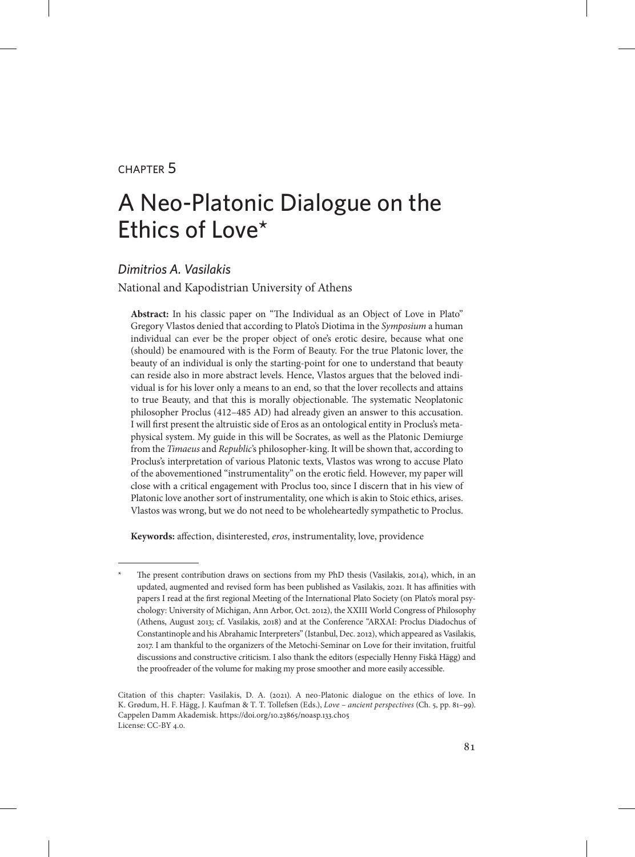#### chapter 5

# A Neo-Platonic Dialogue on the Ethics of Love\*

#### *Dimitrios A. Vasilakis*

National and Kapodistrian University of Athens

**Abstract:** In his classic paper on "The Individual as an Object of Love in Plato" Gregory Vlastos denied that according to Plato's Diotima in the *Symposium* a human individual can ever be the proper object of one's erotic desire, because what one (should) be enamoured with is the Form of Beauty. For the true Platonic lover, the beauty of an individual is only the starting-point for one to understand that beauty can reside also in more abstract levels. Hence, Vlastos argues that the beloved individual is for his lover only a means to an end, so that the lover recollects and attains to true Beauty, and that this is morally objectionable. The systematic Neoplatonic philosopher Proclus (412–485 AD) had already given an answer to this accusation. I will first present the altruistic side of Eros as an ontological entity in Proclus's metaphysical system. My guide in this will be Socrates, as well as the Platonic Demiurge from the *Timaeus* and *Republic*'s philosopher-king. It will be shown that, according to Proclus's interpretation of various Platonic texts, Vlastos was wrong to accuse Plato of the abovementioned "instrumentality" on the erotic field. However, my paper will close with a critical engagement with Proclus too, since I discern that in his view of Platonic love another sort of instrumentality, one which is akin to Stoic ethics, arises. Vlastos was wrong, but we do not need to be wholeheartedly sympathetic to Proclus.

**Keywords:** affection, disinterested, *eros*, instrumentality, love, providence

The present contribution draws on sections from my PhD thesis (Vasilakis, 2014), which, in an updated, augmented and revised form has been published as Vasilakis, 2021. It has affinities with papers I read at the first regional Meeting of the International Plato Society (on Plato's moral psychology: University of Michigan, Ann Arbor, Oct. 2012), the ΧΧΙΙΙ World Congress of Philosophy (Athens, August 2013; cf. Vasilakis, 2018) and at the Conference "ARXAI: Proclus Diadochus of Constantinople and his Abrahamic Interpreters" (Istanbul, Dec. 2012), which appeared as Vasilakis, 2017. I am thankful to the organizers of the Metochi-Seminar on Love for their invitation, fruitful discussions and constructive criticism. I also thank the editors (especially Henny Fiskå Hägg) and the proofreader of the volume for making my prose smoother and more easily accessible.

Citation of this chapter: Vasilakis, D. A. (2021). A neo-Platonic dialogue on the ethics of love. In K. Grødum, H. F. Hägg, J. Kaufman & T. T. Tollefsen (Eds.), *Love – ancient perspectives* (Ch. 5, pp. 81–99). Cappelen Damm Akademisk. https://doi.org/10.23865/noasp.133.ch05 License: CC-BY 4.0.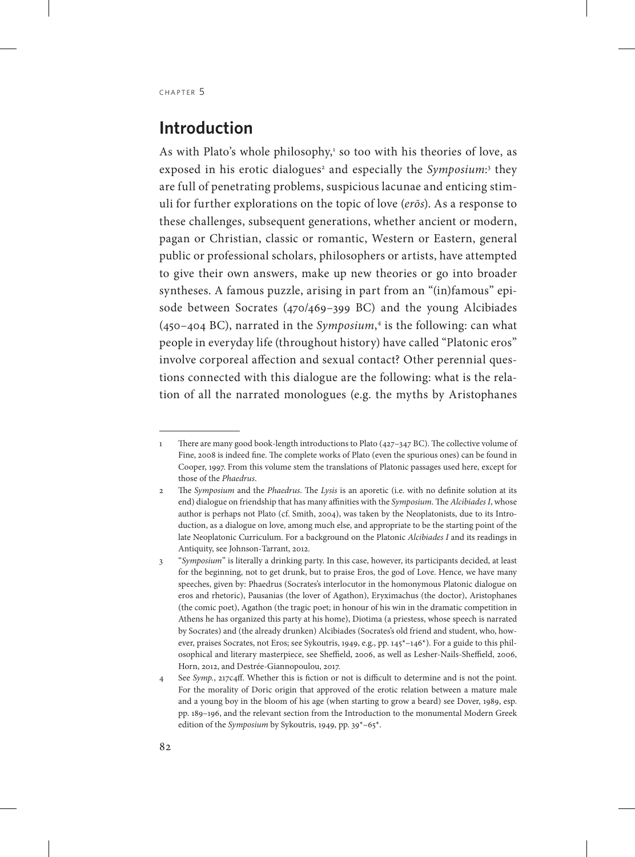# **Introduction**

As with Plato's whole philosophy,<sup>1</sup> so too with his theories of love, as exposed in his erotic dialogues<sup>2</sup> and especially the Symposium:<sup>3</sup> they are full of penetrating problems, suspicious lacunae and enticing stimuli for further explorations on the topic of love (*erōs*). As a response to these challenges, subsequent generations, whether ancient or modern, pagan or Christian, classic or romantic, Western or Eastern, general public or professional scholars, philosophers or artists, have attempted to give their own answers, make up new theories or go into broader syntheses. A famous puzzle, arising in part from an "(in)famous" episode between Socrates (470/469–399 BC) and the young Alcibiades (450–404 BC), narrated in the *Symposium*, 4 is the following: can what people in everyday life (throughout history) have called "Platonic eros" involve corporeal affection and sexual contact? Other perennial questions connected with this dialogue are the following: what is the relation of all the narrated monologues (e.g. the myths by Aristophanes

<sup>1</sup> There are many good book-length introductions to Plato (427–347 BC). The collective volume of Fine, 2008 is indeed fine. The complete works of Plato (even the spurious ones) can be found in Cooper, 1997. From this volume stem the translations of Platonic passages used here, except for those of the *Phaedrus*.

<sup>2</sup> The *Symposium* and the *Phaedrus*. The *Lysis* is an aporetic (i.e. with no definite solution at its end) dialogue on friendship that has many affinities with the *Symposium*. The *Alcibiades I*, whose author is perhaps not Plato (cf. Smith, 2004), was taken by the Neoplatonists, due to its Introduction, as a dialogue on love, among much else, and appropriate to be the starting point of the late Neoplatonic Curriculum. For a background on the Platonic *Alcibiades I* and its readings in Antiquity, see Johnson-Tarrant, 2012.

<sup>3</sup> "*Symposium*" is literally a drinking party. In this case, however, its participants decided, at least for the beginning, not to get drunk, but to praise Eros, the god of Love. Hence, we have many speeches, given by: Phaedrus (Socrates's interlocutor in the homonymous Platonic dialogue on eros and rhetoric), Pausanias (the lover of Agathon), Eryximachus (the doctor), Aristophanes (the comic poet), Agathon (the tragic poet; in honour of his win in the dramatic competition in Athens he has organized this party at his home), Diotima (a priestess, whose speech is narrated by Socrates) and (the already drunken) Alcibiades (Socrates's old friend and student, who, however, praises Socrates, not Eros; see Sykoutris, 1949, e.g., pp. 145\*–146\*). For a guide to this philosophical and literary masterpiece, see Sheffield, 2006, as well as Lesher-Nails-Sheffield, 2006, Horn, 2012, and Destrée-Giannopoulou, 2017.

<sup>4</sup> See *Symp.*, 217c4ff. Whether this is fiction or not is difficult to determine and is not the point. For the morality of Doric origin that approved of the erotic relation between a mature male and a young boy in the bloom of his age (when starting to grow a beard) see Dover, 1989, esp. pp. 189–196, and the relevant section from the Introduction to the monumental Modern Greek edition of the *Symposium* by Sykoutris, 1949, pp. 39\*–65\*.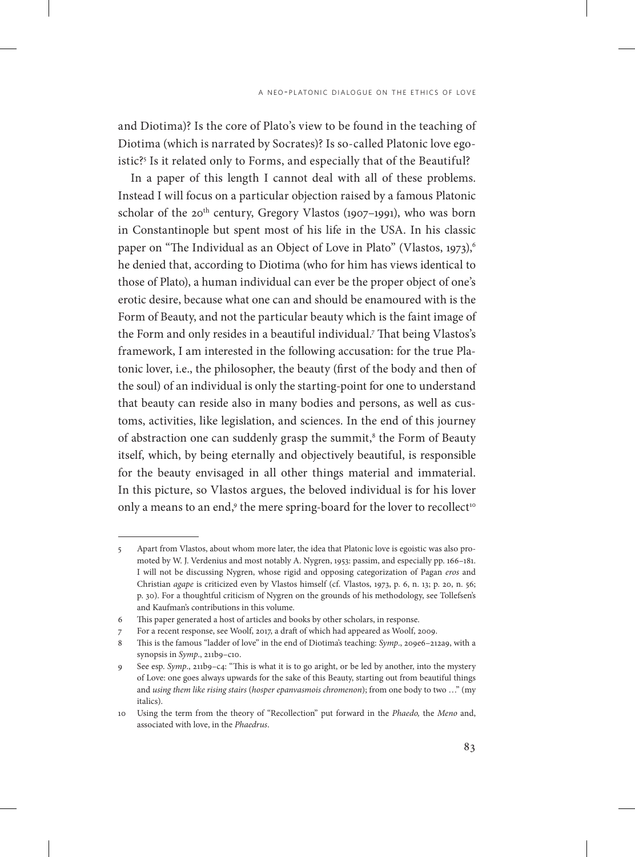and Diotima)? Is the core of Plato's view to be found in the teaching of Diotima (which is narrated by Socrates)? Is so-called Platonic love egoistic?5 Is it related only to Forms, and especially that of the Beautiful?

In a paper of this length I cannot deal with all of these problems. Instead I will focus on a particular objection raised by a famous Platonic scholar of the 20<sup>th</sup> century, Gregory Vlastos (1907–1991), who was born in Constantinople but spent most of his life in the USA. In his classic paper on "The Individual as an Object of Love in Plato" (Vlastos, 1973),<sup>6</sup> he denied that, according to Diotima (who for him has views identical to those of Plato), a human individual can ever be the proper object of one's erotic desire, because what one can and should be enamoured with is the Form of Beauty, and not the particular beauty which is the faint image of the Form and only resides in a beautiful individual.7 That being Vlastos's framework, I am interested in the following accusation: for the true Platonic lover, i.e., the philosopher, the beauty (first of the body and then of the soul) of an individual is only the starting-point for one to understand that beauty can reside also in many bodies and persons, as well as customs, activities, like legislation, and sciences. In the end of this journey of abstraction one can suddenly grasp the summit,<sup>8</sup> the Form of Beauty itself, which, by being eternally and objectively beautiful, is responsible for the beauty envisaged in all other things material and immaterial. In this picture, so Vlastos argues, the beloved individual is for his lover only a means to an end, $^{\circ}$  the mere spring-board for the lover to recollect $^{\circ}$ 

<sup>5</sup> Apart from Vlastos, about whom more later, the idea that Platonic love is egoistic was also promoted by W. J. Verdenius and most notably A. Nygren, 1953: passim, and especially pp. 166–181. I will not be discussing Nygren, whose rigid and opposing categorization of Pagan *eros* and Christian *agape* is criticized even by Vlastos himself (cf. Vlastos, 1973, p. 6, n. 13; p. 20, n. 56; p. 30). For a thoughtful criticism of Nygren on the grounds of his methodology, see Tollefsen's and Kaufman's contributions in this volume.

<sup>6</sup> This paper generated a host of articles and books by other scholars, in response.

<sup>7</sup> For a recent response, see Woolf, 2017, a draft of which had appeared as Woolf, 2009.

<sup>8</sup> This is the famous "ladder of love" in the end of Diotima's teaching: *Symp*., 209e6–212a9, with a synopsis in *Symp*., 211b9-c10.

<sup>9</sup> See esp. *Symp*., 211b9–c4: "This is what it is to go aright, or be led by another, into the mystery of Love: one goes always upwards for the sake of this Beauty, starting out from beautiful things and *using them like rising stairs* (*hosper epanvasmois chromenon*); from one body to two …" (my italics).

<sup>10</sup> Using the term from the theory of "Recollection" put forward in the *Phaedo,* the *Meno* and, associated with love, in the *Phaedrus*.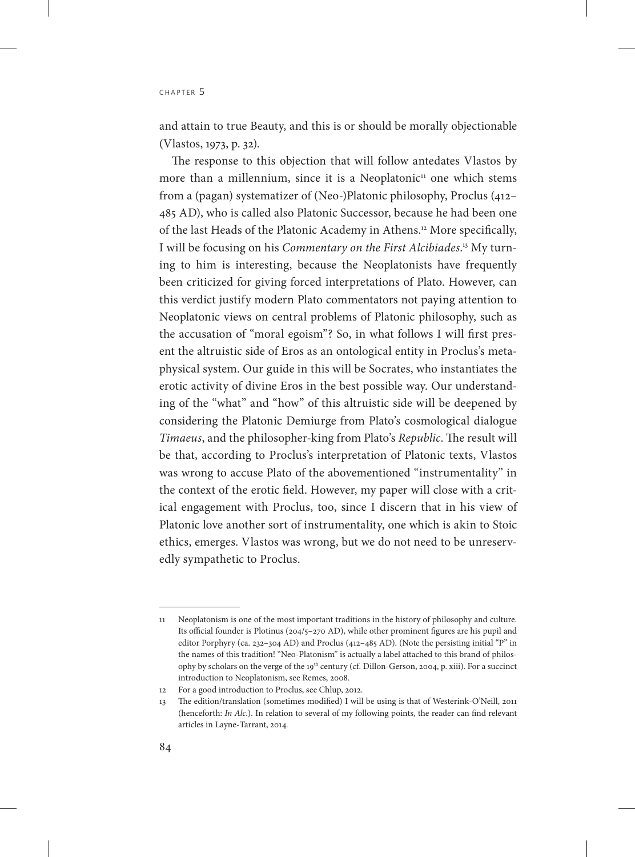and attain to true Beauty, and this is or should be morally objectionable (Vlastos, 1973, p. 32).

The response to this objection that will follow antedates Vlastos by more than a millennium, since it is a Neoplatonic $\mu$  one which stems from a (pagan) systematizer of (Neo-)Platonic philosophy, Proclus (412– 485 AD), who is called also Platonic Successor, because he had been one of the last Heads of the Platonic Academy in Athens.12 More specifically, I will be focusing on his *Commentary on the First Alcibiades*. 13 My turning to him is interesting, because the Neoplatonists have frequently been criticized for giving forced interpretations of Plato. However, can this verdict justify modern Plato commentators not paying attention to Neoplatonic views on central problems of Platonic philosophy, such as the accusation of "moral egoism"? So, in what follows I will first present the altruistic side of Eros as an ontological entity in Proclus's metaphysical system. Our guide in this will be Socrates, who instantiates the erotic activity of divine Eros in the best possible way. Our understanding of the "what" and "how" of this altruistic side will be deepened by considering the Platonic Demiurge from Plato's cosmological dialogue *Timaeus*, and the philosopher-king from Plato's *Republic*. The result will be that, according to Proclus's interpretation of Platonic texts, Vlastos was wrong to accuse Plato of the abovementioned "instrumentality" in the context of the erotic field. However, my paper will close with a critical engagement with Proclus, too, since I discern that in his view of Platonic love another sort of instrumentality, one which is akin to Stoic ethics, emerges. Vlastos was wrong, but we do not need to be unreservedly sympathetic to Proclus.

<sup>11</sup> Neoplatonism is one of the most important traditions in the history of philosophy and culture. Its official founder is Plotinus (204/5–270 AD), while other prominent figures are his pupil and editor Porphyry (ca. 232–304 AD) and Proclus (412–485 AD). (Note the persisting initial "P" in the names of this tradition! "Neo-Platonism" is actually a label attached to this brand of philosophy by scholars on the verge of the 19<sup>th</sup> century (cf. Dillon-Gerson, 2004, p. xiii). For a succinct introduction to Neoplatonism, see Remes, 2008.

<sup>12</sup> For a good introduction to Proclus, see Chlup, 2012.

<sup>13</sup> The edition/translation (sometimes modified) I will be using is that of Westerink-O'Neill, 2011 (henceforth: *In Alc*.). In relation to several of my following points, the reader can find relevant articles in Layne-Tarrant, 2014*.*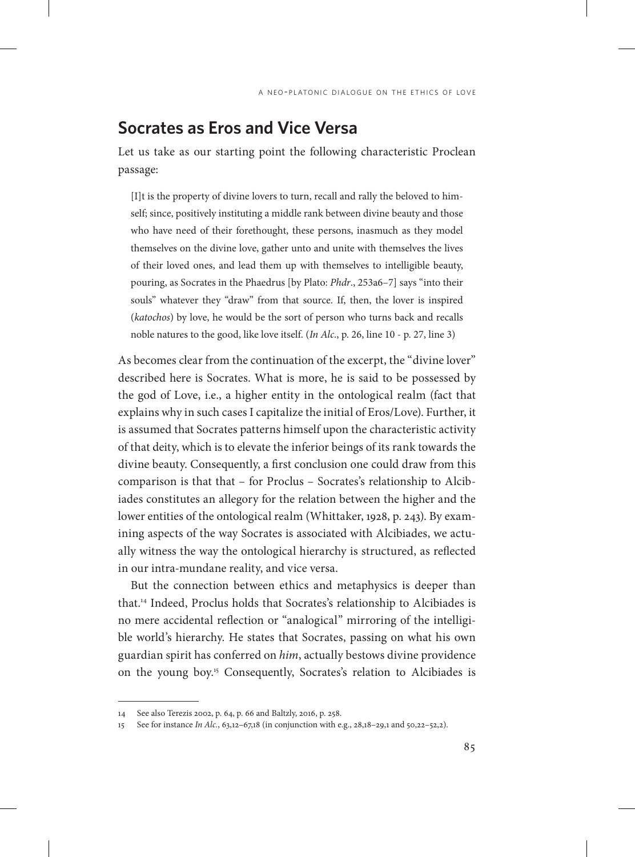### **Socrates as Eros and Vice Versa**

Let us take as our starting point the following characteristic Proclean passage:

[I]t is the property of divine lovers to turn, recall and rally the beloved to himself; since, positively instituting a middle rank between divine beauty and those who have need of their forethought, these persons, inasmuch as they model themselves on the divine love, gather unto and unite with themselves the lives of their loved ones, and lead them up with themselves to intelligible beauty, pouring, as Socrates in the Phaedrus [by Plato: *Phdr*., 253a6–7] says "into their souls" whatever they "draw" from that source. If, then, the lover is inspired (*katochos*) by love, he would be the sort of person who turns back and recalls noble natures to the good, like love itself. (*In Alc*., p. 26, line 10 - p. 27, line 3)

As becomes clear from the continuation of the excerpt, the "divine lover" described here is Socrates. What is more, he is said to be possessed by the god of Love, i.e., a higher entity in the ontological realm (fact that explains why in such cases I capitalize the initial of Eros/Love). Further, it is assumed that Socrates patterns himself upon the characteristic activity of that deity, which is to elevate the inferior beings of its rank towards the divine beauty. Consequently, a first conclusion one could draw from this comparison is that that – for Proclus – Socrates's relationship to Alcibiades constitutes an allegory for the relation between the higher and the lower entities of the ontological realm (Whittaker, 1928, p. 243). By examining aspects of the way Socrates is associated with Alcibiades, we actually witness the way the ontological hierarchy is structured, as reflected in our intra-mundane reality, and vice versa.

But the connection between ethics and metaphysics is deeper than that.14 Indeed, Proclus holds that Socrates's relationship to Alcibiades is no mere accidental reflection or "analogical" mirroring of the intelligible world's hierarchy. He states that Socrates, passing on what his own guardian spirit has conferred on *him*, actually bestows divine providence on the young boy.15 Consequently, Socrates's relation to Alcibiades is

<sup>14</sup> See also Terezis 2002, p. 64, p. 66 and Baltzly, 2016, p. 258.

<sup>15</sup> See for instance *In Alc.*, 63,12–67,18 (in conjunction with e.g., 28,18–29,1 and 50,22–52,2).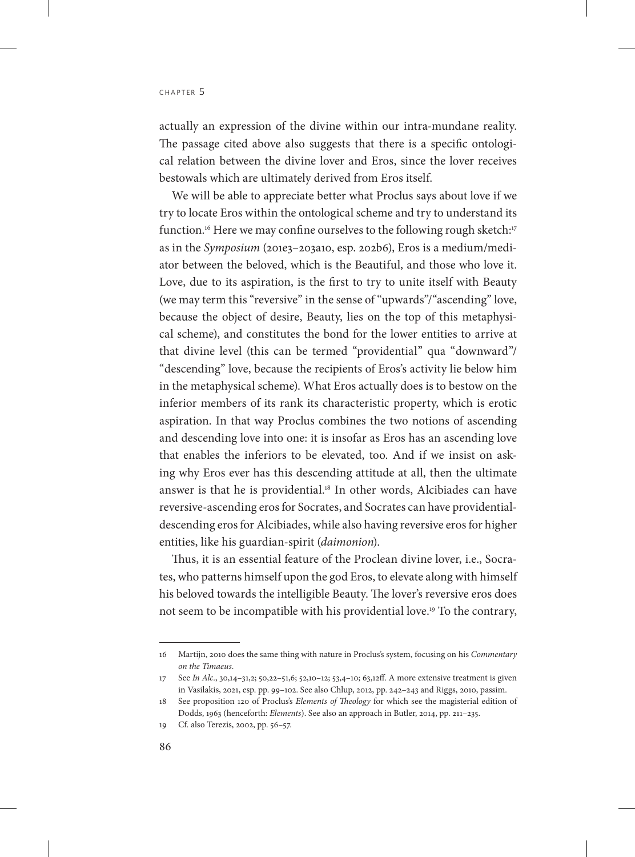actually an expression of the divine within our intra-mundane reality. The passage cited above also suggests that there is a specific ontological relation between the divine lover and Eros, since the lover receives bestowals which are ultimately derived from Eros itself.

We will be able to appreciate better what Proclus says about love if we try to locate Eros within the ontological scheme and try to understand its function.<sup>16</sup> Here we may confine ourselves to the following rough sketch:<sup>17</sup> as in the *Symposium* (201e3–203a10, esp. 202b6), Eros is a medium/mediator between the beloved, which is the Beautiful, and those who love it. Love, due to its aspiration, is the first to try to unite itself with Beauty (we may term this "reversive" in the sense of "upwards"/"ascending" love, because the object of desire, Beauty, lies on the top of this metaphysical scheme), and constitutes the bond for the lower entities to arrive at that divine level (this can be termed "providential" qua "downward"/ "descending" love, because the recipients of Eros's activity lie below him in the metaphysical scheme). What Eros actually does is to bestow on the inferior members of its rank its characteristic property, which is erotic aspiration. In that way Proclus combines the two notions of ascending and descending love into one: it is insofar as Eros has an ascending love that enables the inferiors to be elevated, too. And if we insist on asking why Eros ever has this descending attitude at all, then the ultimate answer is that he is providential.<sup>18</sup> In other words, Alcibiades can have reversive-ascending eros for Socrates, and Socrates can have providentialdescending eros for Alcibiades, while also having reversive eros for higher entities, like his guardian-spirit (*daimonion*).

Thus, it is an essential feature of the Proclean divine lover, i.e., Socrates, who patterns himself upon the god Eros, to elevate along with himself his beloved towards the intelligible Beauty. The lover's reversive eros does not seem to be incompatible with his providential love.19 To the contrary,

<sup>16</sup> Martijn, 2010 does the same thing with nature in Proclus's system, focusing on his *Commentary on the Timaeus*.

<sup>17</sup> See *In Alc*., 30,14–31,2; 50,22–51,6; 52,10–12; 53,4–10; 63,12ff. A more extensive treatment is given in Vasilakis, 2021, esp. pp. 99–102. See also Chlup, 2012, pp. 242–243 and Riggs, 2010, passim.

<sup>18</sup> See proposition 120 of Proclus's *Elements of Theology* for which see the magisterial edition of Dodds, 1963 (henceforth: *Elements*). See also an approach in Butler, 2014, pp. 211–235.

<sup>19</sup> Cf. also Terezis, 2002, pp. 56–57.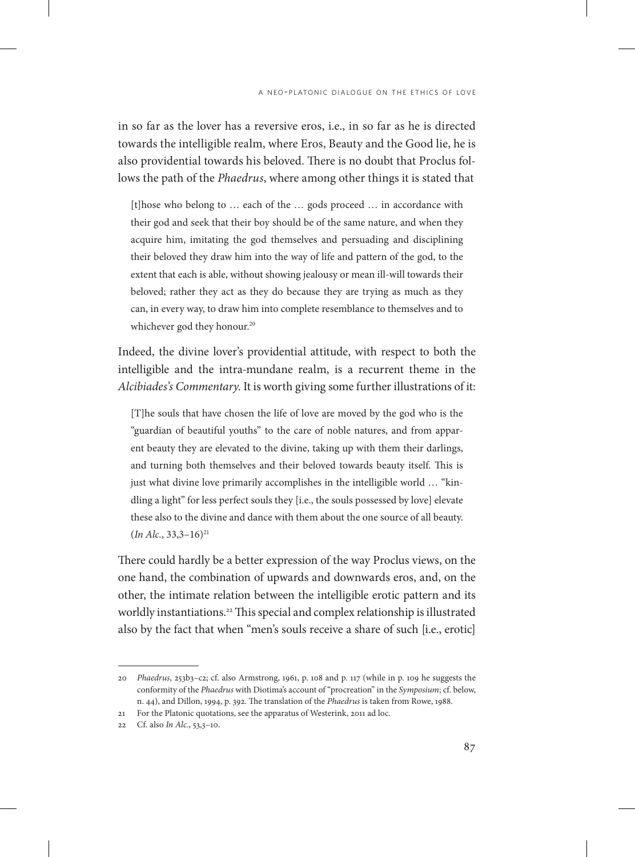in so far as the lover has a reversive eros, i.e., in so far as he is directed towards the intelligible realm, where Eros, Beauty and the Good lie, he is also providential towards his beloved. There is no doubt that Proclus follows the path of the *Phaedrus*, where among other things it is stated that

[t]hose who belong to … each of the … gods proceed … in accordance with their god and seek that their boy should be of the same nature, and when they acquire him, imitating the god themselves and persuading and disciplining their beloved they draw him into the way of life and pattern of the god, to the extent that each is able, without showing jealousy or mean ill-will towards their beloved; rather they act as they do because they are trying as much as they can, in every way, to draw him into complete resemblance to themselves and to whichever god they honour.<sup>20</sup>

Indeed, the divine lover's providential attitude, with respect to both the intelligible and the intra-mundane realm, is a recurrent theme in the *Alcibiades's Commentary*. It is worth giving some further illustrations of it:

[T]he souls that have chosen the life of love are moved by the god who is the "guardian of beautiful youths" to the care of noble natures, and from apparent beauty they are elevated to the divine, taking up with them their darlings, and turning both themselves and their beloved towards beauty itself. This is just what divine love primarily accomplishes in the intelligible world ... "kindling a light" for less perfect souls they [i.e., the souls possessed by love] elevate these also to the divine and dance with them about the one source of all beauty. (*In Alc.*, 33,3–16)21

There could hardly be a better expression of the way Proclus views, on the one hand, the combination of upwards and downwards eros, and, on the other, the intimate relation between the intelligible erotic pattern and its worldly instantiations.<sup>22</sup> This special and complex relationship is illustrated also by the fact that when "men's souls receive a share of such [i.e., erotic]

<sup>20</sup> *Phaedrus*, 253b3–c2; cf. also Armstrong, 1961, p. 108 and p. 117 (while in p. 109 he suggests the conformity of the *Phaedrus* with Diotima's account of "procreation" in the *Symposium*; cf. below, n. 44), and Dillon, 1994, p. 392. The translation of the *Phaedrus* is taken from Rowe, 1988.

<sup>21</sup> For the Platonic quotations, see the apparatus of Westerink, 2011 ad loc.

<sup>22</sup> Cf. also *In Alc.*, 53,3–10.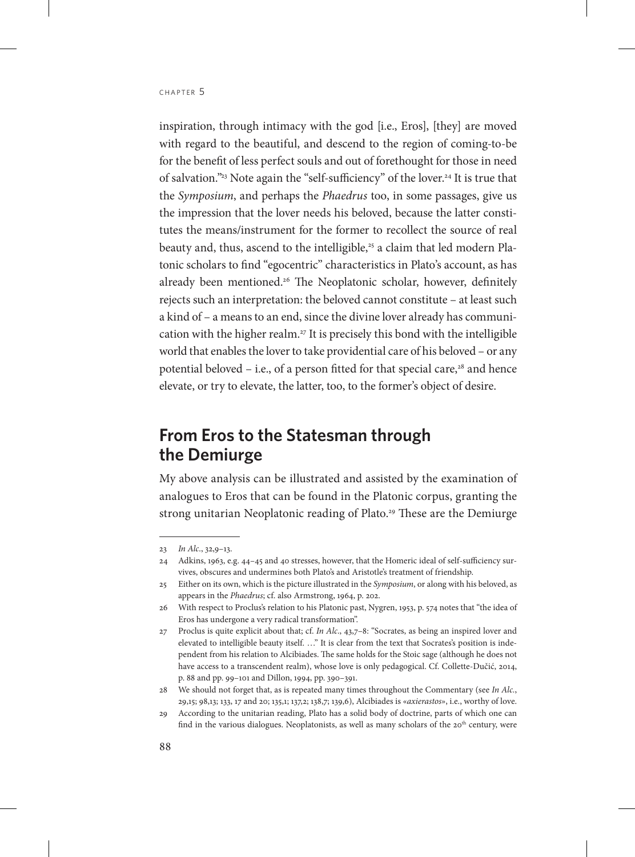inspiration, through intimacy with the god [i.e., Eros], [they] are moved with regard to the beautiful, and descend to the region of coming-to-be for the benefit of less perfect souls and out of forethought for those in need of salvation."23 Note again the "self-sufficiency" of the lover.24 It is true that the *Symposium*, and perhaps the *Phaedrus* too, in some passages, give us the impression that the lover needs his beloved, because the latter constitutes the means/instrument for the former to recollect the source of real beauty and, thus, ascend to the intelligible,<sup>25</sup> a claim that led modern Platonic scholars to find "egocentric" characteristics in Plato's account, as has already been mentioned.<sup>26</sup> The Neoplatonic scholar, however, definitely rejects such an interpretation: the beloved cannot constitute – at least such a kind of – a means to an end, since the divine lover already has communication with the higher realm.<sup>27</sup> It is precisely this bond with the intelligible world that enables the lover to take providential care of his beloved – or any potential beloved – i.e., of a person fitted for that special care, $28$  and hence elevate, or try to elevate, the latter, too, to the former's object of desire.

# **From Eros to the Statesman through the Demiurge**

My above analysis can be illustrated and assisted by the examination of analogues to Eros that can be found in the Platonic corpus, granting the strong unitarian Neoplatonic reading of Plato.<sup>29</sup> These are the Demiurge

<sup>23</sup> *In Alc*., 32,9–13.

<sup>24</sup> Adkins, 1963, e.g. 44–45 and 40 stresses, however, that the Homeric ideal of self-sufficiency survives, obscures and undermines both Plato's and Aristotle's treatment of friendship.

<sup>25</sup> Either on its own, which is the picture illustrated in the *Symposium*, or along with his beloved, as appears in the *Phaedrus*; cf. also Armstrong, 1964, p. 202.

<sup>26</sup> With respect to Proclus's relation to his Platonic past, Nygren, 1953, p. 574 notes that "the idea of Eros has undergone a very radical transformation".

<sup>27</sup> Proclus is quite explicit about that; cf. *In Alc*., 43,7–8: "Socrates, as being an inspired lover and elevated to intelligible beauty itself. …" It is clear from the text that Socrates's position is independent from his relation to Alcibiades. The same holds for the Stoic sage (although he does not have access to a transcendent realm), whose love is only pedagogical. Cf. Collette-Dučić, 2014, p. 88 and pp. 99–101 and Dillon, 1994, pp. 390–391.

<sup>28</sup> We should not forget that, as is repeated many times throughout the Commentary (see *In Alc.*, 29,15; 98,13; 133, 17 and 20; 135,1; 137,2; 138,7; 139,6), Alcibiades is «*axierastos*», i.e., worthy of love.

<sup>29</sup> According to the unitarian reading, Plato has a solid body of doctrine, parts of which one can find in the various dialogues. Neoplatonists, as well as many scholars of the  $20<sup>th</sup>$  century, were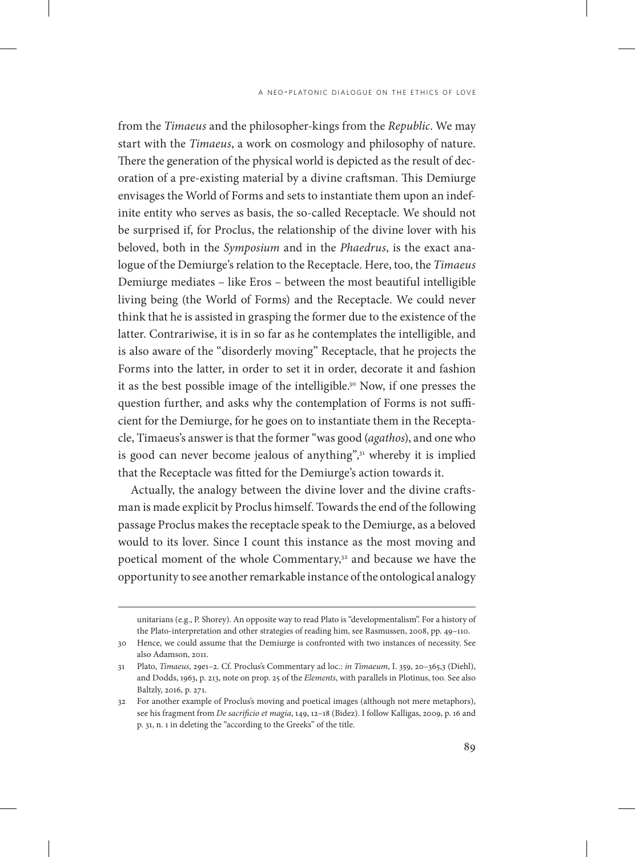from the *Timaeus* and the philosopher-kings from the *Republic*. We may start with the *Timaeus*, a work on cosmology and philosophy of nature. There the generation of the physical world is depicted as the result of decoration of a pre-existing material by a divine craftsman. This Demiurge envisages the World of Forms and sets to instantiate them upon an indefinite entity who serves as basis, the so-called Receptacle. We should not be surprised if, for Proclus, the relationship of the divine lover with his beloved, both in the *Symposium* and in the *Phaedrus*, is the exact analogue of the Demiurge's relation to the Receptacle. Here, too, the *Timaeus* Demiurge mediates – like Eros – between the most beautiful intelligible living being (the World of Forms) and the Receptacle. We could never think that he is assisted in grasping the former due to the existence of the latter. Contrariwise, it is in so far as he contemplates the intelligible, and is also aware of the "disorderly moving" Receptacle, that he projects the Forms into the latter, in order to set it in order, decorate it and fashion it as the best possible image of the intelligible.<sup>30</sup> Now, if one presses the question further, and asks why the contemplation of Forms is not sufficient for the Demiurge, for he goes on to instantiate them in the Receptacle, Timaeus's answer is that the former "was good (*agathos*), and one who is good can never become jealous of anything",<sup>31</sup> whereby it is implied that the Receptacle was fitted for the Demiurge's action towards it.

Actually, the analogy between the divine lover and the divine craftsman is made explicit by Proclus himself. Towards the end of the following passage Proclus makes the receptacle speak to the Demiurge, as a beloved would to its lover. Since I count this instance as the most moving and poetical moment of the whole Commentary,<sup>32</sup> and because we have the opportunity to see another remarkable instance of the ontological analogy

unitarians (e.g., P. Shorey). An opposite way to read Plato is "developmentalism". For a history of the Plato-interpretation and other strategies of reading him, see Rasmussen, 2008, pp. 49–110.

<sup>30</sup> Hence, we could assume that the Demiurge is confronted with two instances of necessity. See also Adamson, 2011.

<sup>31</sup> Plato, *Timaeus*, 29e1–2. Cf. Proclus's Commentary ad loc.: *in Timaeum*, I. 359, 20–365,3 (Diehl), and Dodds, 1963, p. 213, note on prop. 25 of the *Elements*, with parallels in Plotinus, too. See also Baltzly, 2016, p. 271.

<sup>32</sup> For another example of Proclus's moving and poetical images (although not mere metaphors), see his fragment from *De sacrificio et magia*, 149, 12–18 (Bidez)*.* I follow Kalligas, 2009, p. 16 and p. 31, n. 1 in deleting the "according to the Greeks" of the title.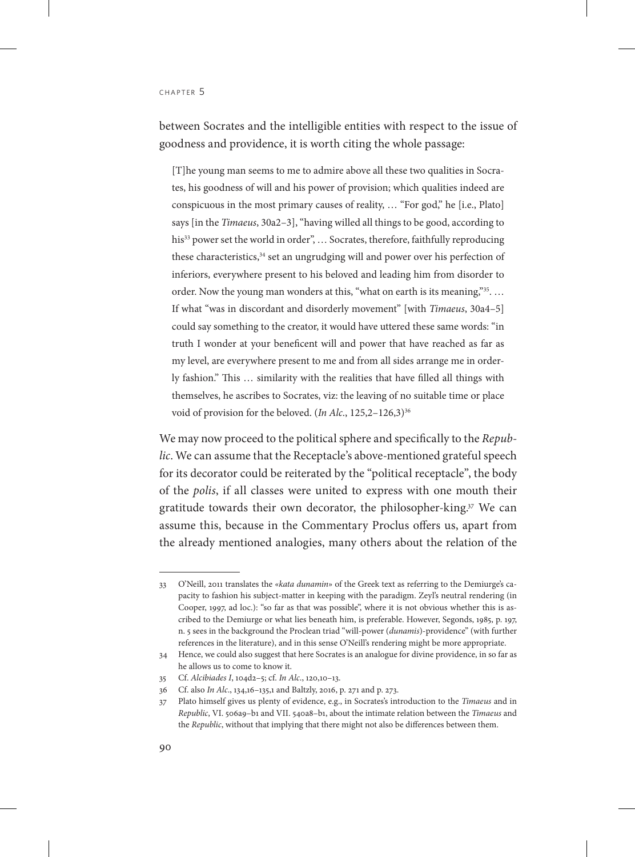between Socrates and the intelligible entities with respect to the issue of goodness and providence, it is worth citing the whole passage:

[T]he young man seems to me to admire above all these two qualities in Socrates, his goodness of will and his power of provision; which qualities indeed are conspicuous in the most primary causes of reality, … "For god," he [i.e., Plato] says [in the *Timaeus*, 30a2–3], "having willed all things to be good, according to his<sup>33</sup> power set the world in order", ... Socrates, therefore, faithfully reproducing these characteristics, $34$  set an ungrudging will and power over his perfection of inferiors, everywhere present to his beloved and leading him from disorder to order. Now the young man wonders at this, "what on earth is its meaning,"<sup>35</sup>... If what "was in discordant and disorderly movement" [with *Timaeus*, 30a4–5] could say something to the creator, it would have uttered these same words: "in truth I wonder at your beneficent will and power that have reached as far as my level, are everywhere present to me and from all sides arrange me in orderly fashion." This … similarity with the realities that have filled all things with themselves, he ascribes to Socrates, viz: the leaving of no suitable time or place void of provision for the beloved. (*In Alc.*, 125,2-126,3)<sup>36</sup>

We may now proceed to the political sphere and specifically to the *Republic*. We can assume that the Receptacle's above-mentioned grateful speech for its decorator could be reiterated by the "political receptacle", the body of the *polis*, if all classes were united to express with one mouth their gratitude towards their own decorator, the philosopher-king.<sup>37</sup> We can assume this, because in the Commentary Proclus offers us, apart from the already mentioned analogies, many others about the relation of the

<sup>33</sup> O'Neill, 2011 translates the «*kata dunamin*» of the Greek text as referring to the Demiurge's capacity to fashion his subject-matter in keeping with the paradigm. Zeyl's neutral rendering (in Cooper, 1997, ad loc.): "so far as that was possible", where it is not obvious whether this is ascribed to the Demiurge or what lies beneath him, is preferable. However, Segonds, 1985, p. 197, n. 5 sees in the background the Proclean triad "will-power (*dunamis*)-providence" (with further references in the literature), and in this sense O'Neill's rendering might be more appropriate.

<sup>34</sup> Hence, we could also suggest that here Socrates is an analogue for divine providence, in so far as he allows us to come to know it.

<sup>35</sup> Cf. *Alcibiades I*, 104d2–5; cf. *In Alc*., 120,10–13.

<sup>36</sup> Cf. also *In Alc*., 134,16–135,1 and Baltzly, 2016, p. 271 and p. 273.

<sup>37</sup> Plato himself gives us plenty of evidence, e.g., in Socrates's introduction to the *Timaeus* and in *Republic*, VI. 506a9–b1 and VII. 540a8–b1, about the intimate relation between the *Timaeus* and the *Republic*, without that implying that there might not also be differences between them.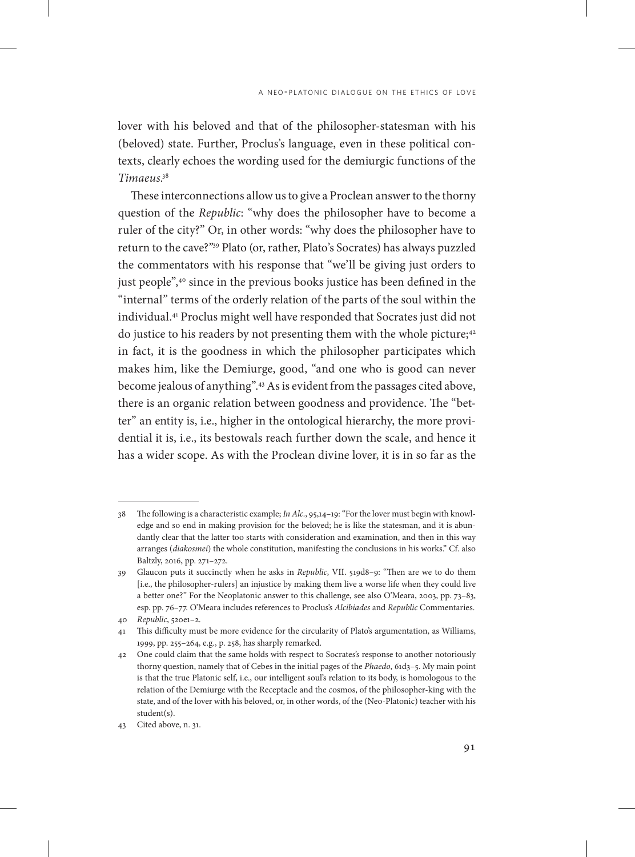lover with his beloved and that of the philosopher-statesman with his (beloved) state. Further, Proclus's language, even in these political contexts, clearly echoes the wording used for the demiurgic functions of the *Timaeus*. 38

These interconnections allow us to give a Proclean answer to the thorny question of the *Republic*: "why does the philosopher have to become a ruler of the city?" Or, in other words: "why does the philosopher have to return to the cave?"39 Plato (or, rather, Plato's Socrates) has always puzzled the commentators with his response that "we'll be giving just orders to just people",<sup>40</sup> since in the previous books justice has been defined in the "internal" terms of the orderly relation of the parts of the soul within the individual.41 Proclus might well have responded that Socrates just did not do justice to his readers by not presenting them with the whole picture;<sup>42</sup> in fact, it is the goodness in which the philosopher participates which makes him, like the Demiurge, good, "and one who is good can never become jealous of anything".43 As is evident from the passages cited above, there is an organic relation between goodness and providence. The "better" an entity is, i.e., higher in the ontological hierarchy, the more providential it is, i.e., its bestowals reach further down the scale, and hence it has a wider scope. As with the Proclean divine lover, it is in so far as the

<sup>38</sup> The following is a characteristic example; *In Alc*., 95,14–19: "For the lover must begin with knowledge and so end in making provision for the beloved; he is like the statesman, and it is abundantly clear that the latter too starts with consideration and examination, and then in this way arranges (*diakosmei*) the whole constitution, manifesting the conclusions in his works." Cf. also Baltzly, 2016, pp. 271–272.

<sup>39</sup> Glaucon puts it succinctly when he asks in *Republic*, VII. 519d8–9: "Then are we to do them [i.e., the philosopher-rulers] an injustice by making them live a worse life when they could live a better one?" For the Neoplatonic answer to this challenge, see also O'Meara, 2003, pp. 73–83, esp. pp. 76–77. O'Meara includes references to Proclus's *Alcibiades* and *Republic* Commentaries. 40 *Republic*, 520e1–2.

<sup>41</sup> This difficulty must be more evidence for the circularity of Plato's argumentation, as Williams, 1999, pp. 255–264, e.g., p. 258, has sharply remarked.

<sup>42</sup> One could claim that the same holds with respect to Socrates's response to another notoriously thorny question, namely that of Cebes in the initial pages of the *Phaedo*, 61d3–5. My main point is that the true Platonic self, i.e., our intelligent soul's relation to its body, is homologous to the relation of the Demiurge with the Receptacle and the cosmos, of the philosopher-king with the state, and of the lover with his beloved, or, in other words, of the (Neo-Platonic) teacher with his student(s).

<sup>43</sup> Cited above, n. 31.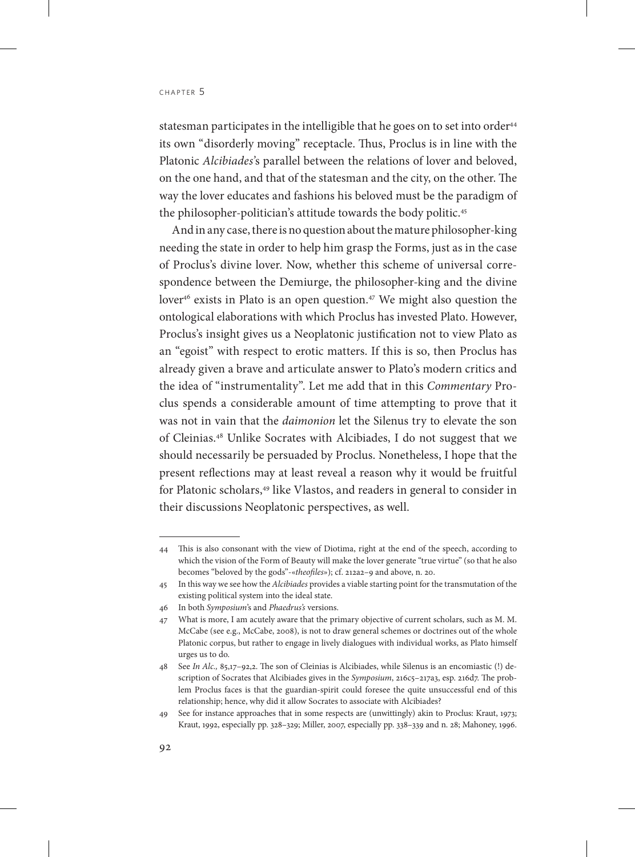statesman participates in the intelligible that he goes on to set into order<sup>44</sup> its own "disorderly moving" receptacle. Thus, Proclus is in line with the Platonic *Alcibiades'*s parallel between the relations of lover and beloved, on the one hand, and that of the statesman and the city, on the other. The way the lover educates and fashions his beloved must be the paradigm of the philosopher-politician's attitude towards the body politic.<sup>45</sup>

And in any case, there is no question about the mature philosopher-king needing the state in order to help him grasp the Forms, just as in the case of Proclus's divine lover. Now, whether this scheme of universal correspondence between the Demiurge, the philosopher-king and the divine lover<sup>46</sup> exists in Plato is an open question.<sup>47</sup> We might also question the ontological elaborations with which Proclus has invested Plato. However, Proclus's insight gives us a Neoplatonic justification not to view Plato as an "egoist" with respect to erotic matters. If this is so, then Proclus has already given a brave and articulate answer to Plato's modern critics and the idea of "instrumentality". Let me add that in this *Commentary* Proclus spends a considerable amount of time attempting to prove that it was not in vain that the *daimonion* let the Silenus try to elevate the son of Cleinias.48 Unlike Socrates with Alcibiades, I do not suggest that we should necessarily be persuaded by Proclus. Nonetheless, I hope that the present reflections may at least reveal a reason why it would be fruitful for Platonic scholars,<sup>49</sup> like Vlastos, and readers in general to consider in their discussions Neoplatonic perspectives, as well.

<sup>44</sup> This is also consonant with the view of Diotima, right at the end of the speech, according to which the vision of the Form of Beauty will make the lover generate "true virtue" (so that he also becomes "beloved by the gods"-«*theofiles*»); cf. 212a2–9 and above, n. 20.

<sup>45</sup> In this way we see how the *Alcibiades* provides a viable starting point for the transmutation of the existing political system into the ideal state.

<sup>46</sup> In both *Symposium*'s and *Phaedrus's* versions.

<sup>47</sup> What is more, I am acutely aware that the primary objective of current scholars, such as M. M. McCabe (see e.g., McCabe, 2008), is not to draw general schemes or doctrines out of the whole Platonic corpus, but rather to engage in lively dialogues with individual works, as Plato himself urges us to do.

<sup>48</sup> See *In Alc.,* 85,17–92,2. The son of Cleinias is Alcibiades, while Silenus is an encomiastic (!) description of Socrates that Alcibiades gives in the *Symposium*, 216c5-217a3, esp. 216d7. The problem Proclus faces is that the guardian-spirit could foresee the quite unsuccessful end of this relationship; hence, why did it allow Socrates to associate with Alcibiades?

<sup>49</sup> See for instance approaches that in some respects are (unwittingly) akin to Proclus: Kraut, 1973; Kraut, 1992, especially pp. 328–329; Miller, 2007, especially pp. 338–339 and n. 28; Mahoney, 1996.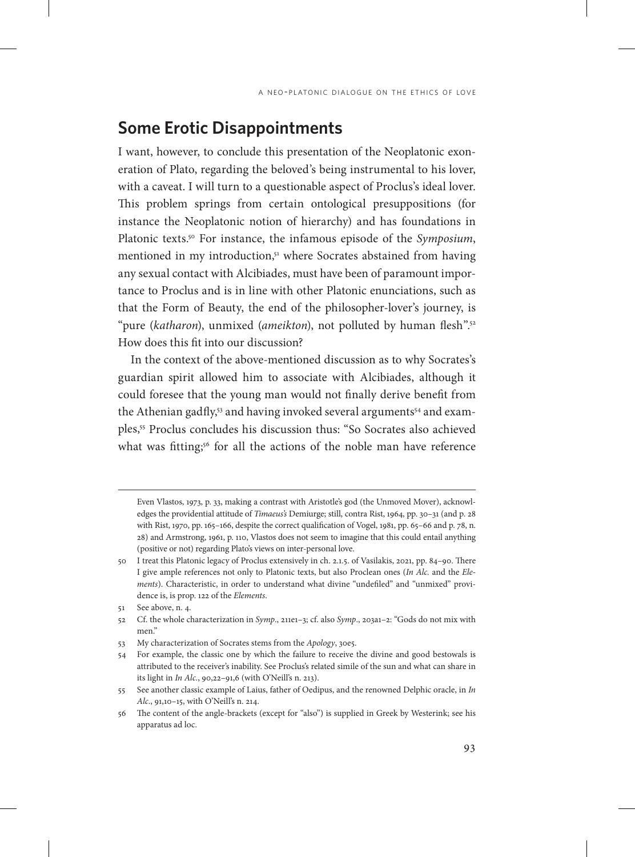## **Some Erotic Disappointments**

I want, however, to conclude this presentation of the Neoplatonic exoneration of Plato, regarding the beloved's being instrumental to his lover, with a caveat. I will turn to a questionable aspect of Proclus's ideal lover. This problem springs from certain ontological presuppositions (for instance the Neoplatonic notion of hierarchy) and has foundations in Platonic texts.50 For instance, the infamous episode of the *Symposium*, mentioned in my introduction,<sup>51</sup> where Socrates abstained from having any sexual contact with Alcibiades, must have been of paramount importance to Proclus and is in line with other Platonic enunciations, such as that the Form of Beauty, the end of the philosopher-lover's journey, is "pure (katharon), unmixed (ameikton), not polluted by human flesh"<sup>52</sup> How does this fit into our discussion?

Ιn the context of the above-mentioned discussion as to why Socrates's guardian spirit allowed him to associate with Alcibiades, although it could foresee that the young man would not finally derive benefit from the Athenian gadfly,<sup>53</sup> and having invoked several arguments<sup>54</sup> and examples,55 Proclus concludes his discussion thus: "So Socrates also achieved what was fitting;<sup>56</sup> for all the actions of the noble man have reference

Even Vlastos, 1973, p. 33, making a contrast with Aristotle's god (the Unmoved Mover), acknowledges the providential attitude of *Timaeus's* Demiurge; still, contra Rist, 1964, pp. 30–31 (and p. 28 with Rist, 1970, pp. 165–166, despite the correct qualification of Vogel, 1981, pp. 65–66 and p. 78, n. 28) and Armstrong, 1961, p. 110, Vlastos does not seem to imagine that this could entail anything (positive or not) regarding Plato's views on inter-personal love.

<sup>50</sup> I treat this Platonic legacy of Proclus extensively in ch. 2.1.5. of Vasilakis, 2021, pp. 84–90. There I give ample references not only to Platonic texts, but also Proclean ones (*In Alc.* and the *Elements*). Characteristic, in order to understand what divine "undefiled" and "unmixed" providence is, is prop. 122 of the *Elements*.

<sup>51</sup> See above, n. 4.

<sup>52</sup> Cf. the whole characterization in *Symp*., 211e1–3; cf. also *Symp*., 203a1–2: "Gods do not mix with men."

<sup>53</sup> My characterization of Socrates stems from the *Apology*, 30e5.

<sup>54</sup> For example, the classic one by which the failure to receive the divine and good bestowals is attributed to the receiver's inability. See Proclus's related simile of the sun and what can share in its light in *In Alc*., 90,22–91,6 (with O'Neill's n. 213).

<sup>55</sup> See another classic example of Laius, father of Oedipus, and the renowned Delphic oracle, in *In Alc*., 91,10–15, with O'Neill's n. 214.

<sup>56</sup> The content of the angle-brackets (except for "also") is supplied in Greek by Westerink; see his apparatus ad loc.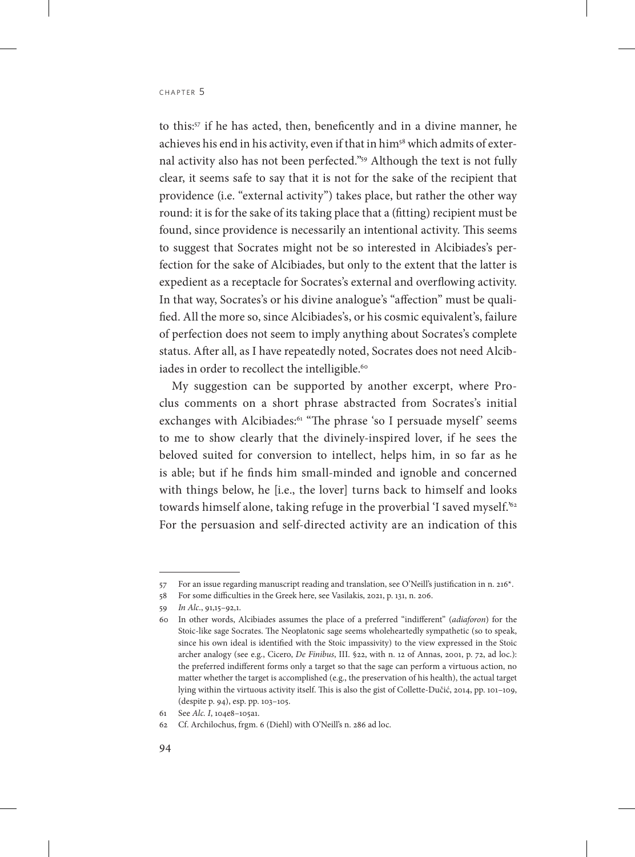to this:57 if he has acted, then, beneficently and in a divine manner, he achieves his end in his activity, even if that in him<sup>58</sup> which admits of external activity also has not been perfected."59 Although the text is not fully clear, it seems safe to say that it is not for the sake of the recipient that providence (i.e. "external activity") takes place, but rather the other way round: it is for the sake of its taking place that a (fitting) recipient must be found, since providence is necessarily an intentional activity. This seems to suggest that Socrates might not be so interested in Alcibiades's perfection for the sake of Alcibiades, but only to the extent that the latter is expedient as a receptacle for Socrates's external and overflowing activity. In that way, Socrates's or his divine analogue's "affection" must be qualified. All the more so, since Alcibiades's, or his cosmic equivalent's, failure of perfection does not seem to imply anything about Socrates's complete status. After all, as I have repeatedly noted, Socrates does not need Alcibiades in order to recollect the intelligible.<sup>60</sup>

My suggestion can be supported by another excerpt, where Proclus comments on a short phrase abstracted from Socrates's initial exchanges with Alcibiades:<sup>61</sup> "The phrase 'so I persuade myself' seems to me to show clearly that the divinely-inspired lover, if he sees the beloved suited for conversion to intellect, helps him, in so far as he is able; but if he finds him small-minded and ignoble and concerned with things below, he [i.e., the lover] turns back to himself and looks towards himself alone, taking refuge in the proverbial 'I saved myself.'62 For the persuasion and self-directed activity are an indication of this

<sup>57</sup> For an issue regarding manuscript reading and translation, see Ο'Neill's justification in n. 216\*.

<sup>58</sup> For some difficulties in the Greek here, see Vasilakis, 2021, p. 131, n. 206.

<sup>59</sup> *In Alc*., 91,15–92,1.

<sup>60</sup> In other words, Alcibiades assumes the place of a preferred "indifferent" (*adiaforon*) for the Stoic-like sage Socrates. The Neoplatonic sage seems wholeheartedly sympathetic (so to speak, since his own ideal is identified with the Stoic impassivity) to the view expressed in the Stoic archer analogy (see e.g., Cicero, *De Finibus*, III. §22, with n. 12 of Annas, 2001, p. 72, ad loc.): the preferred indifferent forms only a target so that the sage can perform a virtuous action, no matter whether the target is accomplished (e.g., the preservation of his health), the actual target lying within the virtuous activity itself. This is also the gist of Collette-Dučić, 2014, pp. 101–109, (despite p. 94), esp. pp. 103–105.

<sup>61</sup> See *Alc. I*, 104e8–105a1.

<sup>62</sup> Cf. Archilochus, frgm. 6 (Diehl) with O'Neill's n. 286 ad loc.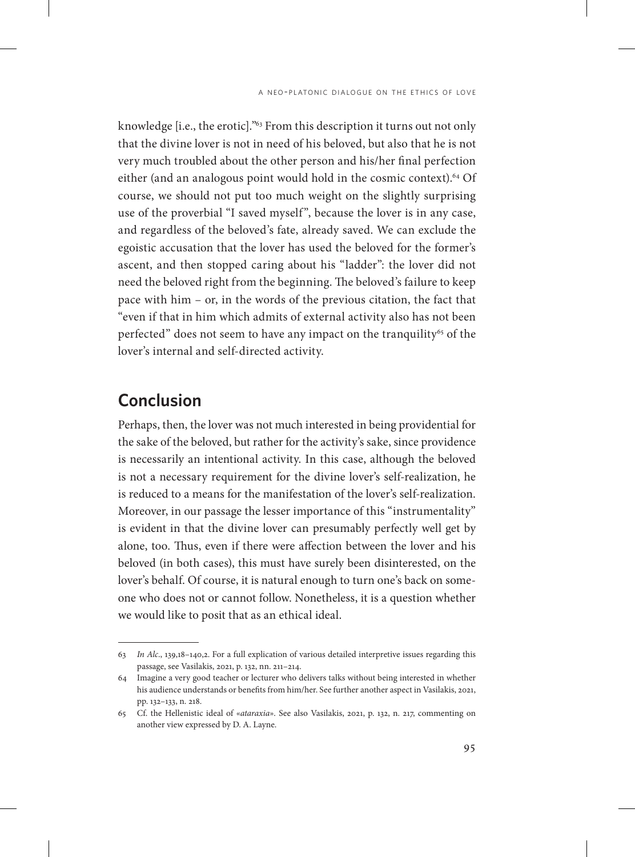knowledge [i.e., the erotic]."63 From this description it turns out not only that the divine lover is not in need of his beloved, but also that he is not very much troubled about the other person and his/her final perfection either (and an analogous point would hold in the cosmic context).64 Of course, we should not put too much weight on the slightly surprising use of the proverbial "I saved myself", because the lover is in any case, and regardless of the beloved's fate, already saved. We can exclude the egoistic accusation that the lover has used the beloved for the former's ascent, and then stopped caring about his "ladder": the lover did not need the beloved right from the beginning. The beloved's failure to keep pace with him – or, in the words of the previous citation, the fact that "even if that in him which admits of external activity also has not been perfected" does not seem to have any impact on the tranquility<sup>65</sup> of the lover's internal and self-directed activity.

# **Conclusion**

Perhaps, then, the lover was not much interested in being providential for the sake of the beloved, but rather for the activity's sake, since providence is necessarily an intentional activity. In this case, although the beloved is not a necessary requirement for the divine lover's self-realization, he is reduced to a means for the manifestation of the lover's self-realization. Moreover, in our passage the lesser importance of this "instrumentality" is evident in that the divine lover can presumably perfectly well get by alone, too. Thus, even if there were affection between the lover and his beloved (in both cases), this must have surely been disinterested, on the lover's behalf. Of course, it is natural enough to turn one's back on someone who does not or cannot follow. Nonetheless, it is a question whether we would like to posit that as an ethical ideal.

<sup>63</sup> *In Alc*., 139,18–140,2. For a full explication of various detailed interpretive issues regarding this passage, see Vasilakis, 2021, p. 132, nn. 211–214.

<sup>64</sup> Imagine a very good teacher or lecturer who delivers talks without being interested in whether his audience understands or benefits from him/her. See further another aspect in Vasilakis, 2021, pp. 132–133, n. 218.

<sup>65</sup> Cf. the Hellenistic ideal of «*ataraxia*». See also Vasilakis, 2021, p. 132, n. 217, commenting on another view expressed by D. A. Layne.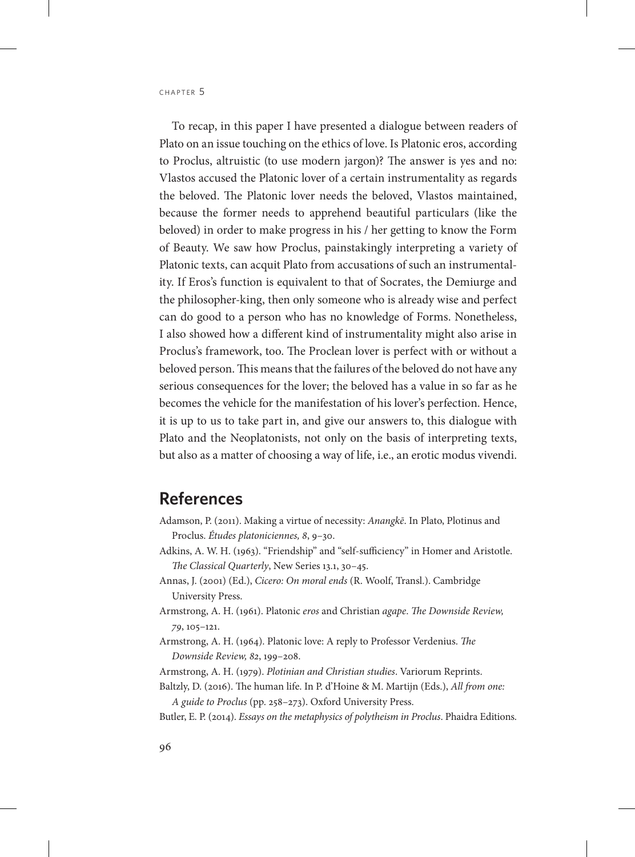Το recap, in this paper I have presented a dialogue between readers of Plato on an issue touching on the ethics of love. Is Platonic eros, according to Proclus, altruistic (to use modern jargon)? The answer is yes and no: Vlastos accused the Platonic lover of a certain instrumentality as regards the beloved. The Platonic lover needs the beloved, Vlastos maintained, because the former needs to apprehend beautiful particulars (like the beloved) in order to make progress in his / her getting to know the Form of Beauty. We saw how Proclus, painstakingly interpreting a variety of Platonic texts, can acquit Plato from accusations of such an instrumentality. If Eros's function is equivalent to that of Socrates, the Demiurge and the philosopher-king, then only someone who is already wise and perfect can do good to a person who has no knowledge of Forms. Nonetheless, I also showed how a different kind of instrumentality might also arise in Proclus's framework, too. The Proclean lover is perfect with or without a beloved person. This means that the failures of the beloved do not have any serious consequences for the lover; the beloved has a value in so far as he becomes the vehicle for the manifestation of his lover's perfection. Hence, it is up to us to take part in, and give our answers to, this dialogue with Plato and the Neoplatonists, not only on the basis of interpreting texts, but also as a matter of choosing a way of life, i.e., an erotic modus vivendi.

#### **References**

- Adamson, P. (2011). Making a virtue of necessity: *Anangkē*. In Plato, Plotinus and Proclus. *Études platoniciennes, 8*, 9–30.
- Adkins, A. W. H. (1963). "Friendship" and "self-sufficiency" in Homer and Aristotle. *The Classical Quarterly*, New Series 13.1, 30–45.
- Annas, J. (2001) (Ed.), *Cicero: On moral ends* (R. Woolf, Transl.). Cambridge University Press.
- Armstrong, A. H. (1961). Platonic *eros* and Christian *agape*. *The Downside Review, 79*, 105–121.
- Armstrong, A. H. (1964). Platonic love: A reply to Professor Verdenius. *The Downside Review, 82*, 199–208.
- Armstrong, A. H. (1979). *Plotinian and Christian studies*. Variorum Reprints.
- Baltzly, D. (2016). The human life. In P. d'Hoine & M. Martijn (Eds.), *All from one: A guide to Proclus* (pp. 258–273). Oxford University Press.
- Butler, E. P. (2014). *Essays on the metaphysics of polytheism in Proclus*. Phaidra Editions.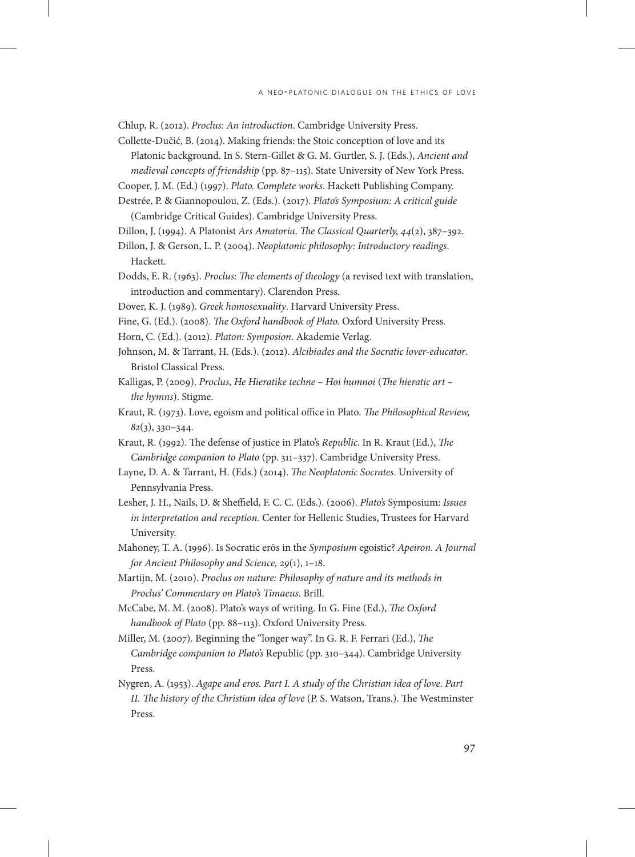Chlup, R. (2012). *Proclus: An introduction*. Cambridge University Press.

- Collette-Dučić, B. (2014). Making friends: the Stoic conception of love and its Platonic background. In S. Stern-Gillet & G. M. Gurtler, S. J. (Eds.), *Ancient and medieval concepts of friendship* (pp. 87–115). State University of New York Press.
- Cooper, J. M. (Ed.) (1997). *Plato. Complete works*. Hackett Publishing Company.
- Destrée, P. & Giannopoulou, Z. (Eds.). (2017). *Plato's Symposium: A critical guide* (Cambridge Critical Guides). Cambridge University Press.
- Dillon, J. (1994). A Platonist *Ars Amatoria*. *The Classical Quarterly, 44*(2), 387–392.
- Dillon, J. & Gerson, L. P. (2004). *Neoplatonic philosophy: Introductory readings*. Hackett.
- Dodds, E. R. (1963). *Proclus: The elements of theology* (a revised text with translation, introduction and commentary). Clarendon Press.
- Dover, K. J. (1989). *Greek homosexuality*. Harvard University Press.
- Fine, G. (Ed.). (2008). *The Oxford handbook of Plato.* Oxford University Press.
- Horn, C. (Ed.). (2012). *Platon: Symposion*. Akademie Verlag.
- Johnson, M. & Tarrant, H. (Eds.). (2012). *Alcibiades and the Socratic lover-educator*. Bristol Classical Press.
- Kalligas, P. (2009). *Proclus*, *He Hieratike techne Hoi humnoi* (*The hieratic art the hymns*). Stigme.
- Kraut, R. (1973). Love, egoism and political office in Plato. *The Philosophical Review, 82*(3), 330–344.
- Kraut, R. (1992). The defense of justice in Plato's *Republic*. In R. Kraut (Ed.), *The Cambridge companion to Plato* (pp. 311–337). Cambridge University Press.
- Layne, D. A. & Tarrant, H. (Eds.) (2014). *The Neoplatonic Socrates*. University of Pennsylvania Press.
- Lesher, J. H., Nails, D. & Sheffield, F. C. C. (Eds.). (2006). *Plato's* Symposium: *Issues in interpretation and reception.* Center for Hellenic Studies, Trustees for Harvard University.
- Mahoney, T. A. (1996). Is Socratic erōs in the *Symposium* egoistic? *Apeiron. A Journal for Ancient Philosophy and Science, 29*(1), 1–18.
- Martijn, M. (2010). *Proclus on nature: Philosophy of nature and its methods in Proclus' Commentary on Plato's Timaeus*. Brill.
- McCabe, M. M. (2008). Plato's ways of writing. In G. Fine (Ed.), *The Oxford handbook of Plato* (pp. 88–113). Oxford University Press.
- Miller, M. (2007). Beginning the "longer way". In G. R. F. Ferrari (Ed.), *The Cambridge companion to Plato's* Republic (pp. 310–344). Cambridge University Press.
- Nygren, A. (1953). *Agape and eros. Part I. A study of the Christian idea of love*. *Part II. The history of the Christian idea of love* (P. S. Watson, Trans.). The Westminster Press.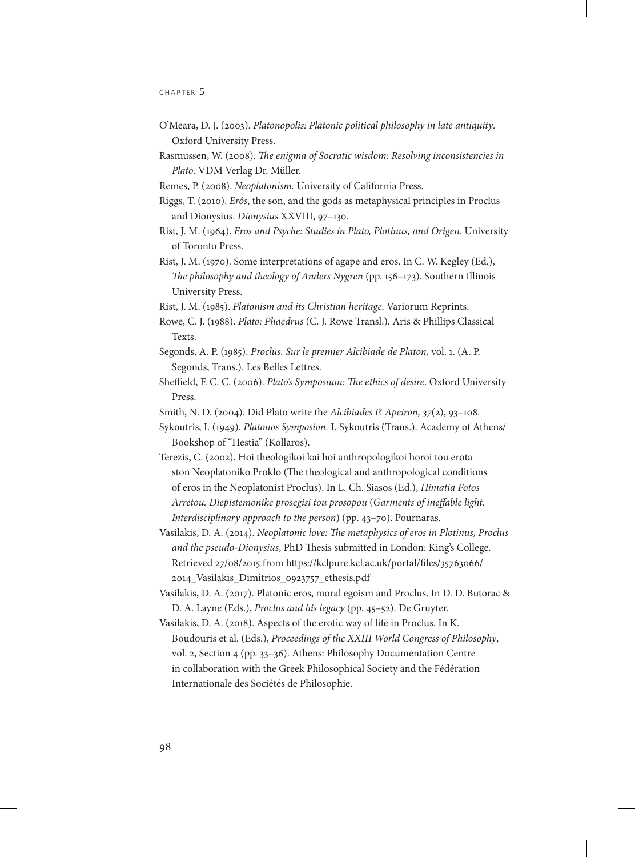- O'Meara, D. J. (2003). *Platonopolis: Platonic political philosophy in late antiquity*. Oxford University Press.
- Rasmussen, W. (2008). *The enigma of Socratic wisdom: Resolving inconsistencies in Plato*. VDM Verlag Dr. Müller.
- Remes, P. (2008). *Neoplatonism.* University of California Press.
- Riggs, T. (2010). *Erôs*, the son, and the gods as metaphysical principles in Proclus and Dionysius. *Dionysius* XXVIII, 97–130.
- Rist, J. M. (1964). *Eros and Psyche: Studies in Plato, Plotinus, and Origen*. University of Toronto Press.
- Rist, J. M. (1970). Some interpretations of agape and eros. In C. W. Kegley (Ed.), *The philosophy and theology of Anders Nygren* (pp. 156–173). Southern Illinois University Press.
- Rist, J. M. (1985). *Platonism and its Christian heritage*. Variorum Reprints.
- Rowe, C. J. (1988). *Plato: Phaedrus* (C. J. Rowe Transl.). Aris & Phillips Classical Texts.
- Segonds, A. P. (1985). *Proclus. Sur le premier Alcibiade de Platon,* vol. 1. (A. P. Segonds, Trans.). Les Belles Lettres.
- Sheffield, F. C. C. (2006). *Plato's Symposium: The ethics of desire*. Oxford University Press.
- Smith, N. D. (2004). Did Plato write the *Alcibiades I*? *Apeiron, 37*(2), 93–108.
- Sykoutris, I. (1949). *Platonos Symposion.* I. Sykoutris (Trans.). Academy of Athens/ Bookshop of "Hestia" (Kollaros).
- Terezis, C. (2002). Hoi theologikoi kai hoi anthropologikoi horoi tou erota ston Neoplatoniko Proklo (The theological and anthropological conditions of eros in the Neoplatonist Proclus). In L. Ch. Siasos (Ed.), *Himatia Fotos Arretou. Diepistemonike prosegisi tou prosopou* (*Garments of ineffable light. Interdisciplinary approach to the person*) (pp. 43–70). Pournaras.
- Vasilakis, D. A. (2014). *Neoplatonic love: The metaphysics of eros in Plotinus, Proclus and the pseudo-Dionysius*, PhD Thesis submitted in London: King's College. Retrieved 27/08/2015 from [https://kclpure.kcl.ac.uk/portal/files/35763066/](https://kclpure.kcl.ac.uk/portal/files/35763066/2014_Vasilakis_Dimitrios_0923757_ethesis.pdf) [2014\\_Vasilakis\\_Dimitrios\\_0923757\\_ethesis.pdf](https://kclpure.kcl.ac.uk/portal/files/35763066/2014_Vasilakis_Dimitrios_0923757_ethesis.pdf)
- Vasilakis, D. A. (2017). Platonic eros, moral egoism and Proclus. In D. D. Butorac & D. A. Layne (Eds.), *Proclus and his legacy* (pp. 45–52). De Gruyter.
- Vasilakis, D. A. (2018). Aspects of the erotic way of life in Proclus. In K. Boudouris et al. (Eds.), *Proceedings of the XXIII World Congress of Philosophy*, vol. 2, Section 4 (pp. 33–36). Athens: Philosophy Documentation Centre in collaboration with the Greek Philosophical Society and the Fédération Internationale des Sociétés de Philosophie.